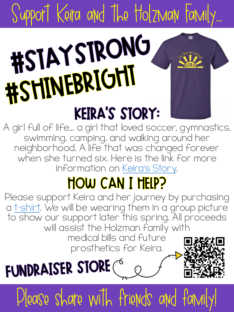## Support Keira and the Holzman Famil #STAYSTRONG 圖 HOIM LONGH **KEIRA'S STORY:**

A girl full of life... a girl that loved soccer, gymnastics, swimming, camping, an[d walking aro](https://drive.google.com/file/d/1Tip2PN3m2hWJ60ucgBYu0e0ZqUWu56LY/view?usp=sharing)und her neighborhood. A life that was changed forever when she turned six. Here is the link for more information on Keira's Story.

## **HOW CAN I HEIP?**

Please support Keira and her journey by purchasing a t-shirt. We will be wearing them in a group picture to show our support later this spring. All proceeds will assist the Holzman family with

medical bills and future prosthetics for Keira.





Please share with friends and family!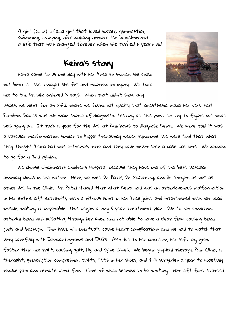A girl full of life...a girl that loved soccer, gymnastics, swimming, camping, and walking around the neighborhood… a life that was changed forever when she turned 6 years old.

## Keira's story

Keira came to us one day with her knee so swollen she could not bend it. We thought she fell and incurred an injury. We took her to the Dr. who ordered X-rays. When that didn't show any issues, we went for an MRI where we found out quickly that anesthesia made her very sick! Rainbow Babies was our main source of diagnostic testing at this point to try to figure out what was going on. It took a year for the Drs. at Rainbow's to diagnose Keira. We were told it was a vascular malformation similar to klippel trenaunay weber syndrome. We were told that what they thought Keira had was extremely rare and they have never seen a case like hers. We decided to go for a 2nd opinion.

We choose Cincinnati's Children's Hospital because they have one of the best vascular anomaly clinics in the nation. Here, we met Dr. Patel, Dr. McCarthy, and Dr. Sorger, as well as other Drs. in the Clinic. Dr. Patel shared that what Keira had was an arteriovenous malformation in her entire left extremity with a nitrous point in her knee joint and intertwined with her quad muscle, making it inoperable. Thus began a long 5 year treatment plan. Due to her condition, arterial blood was pulsating through her knee and not able to have a clear flow, causing blood pools and backups. This issue will eventually cause heart complications and we had to watch that very carefully with Echocardiograms and EKG's. Also due to her condition, her left leg grew faster than her right, causing gait, hip, and spine issues. We began physical therapy, Pain Clinic, a therapist, prescription compression tights, lifts in her shoes, and 2-3 surgeries a year to hopefully reduce pain and reroute blood flow. None of which seemed to be working. Her left foot started